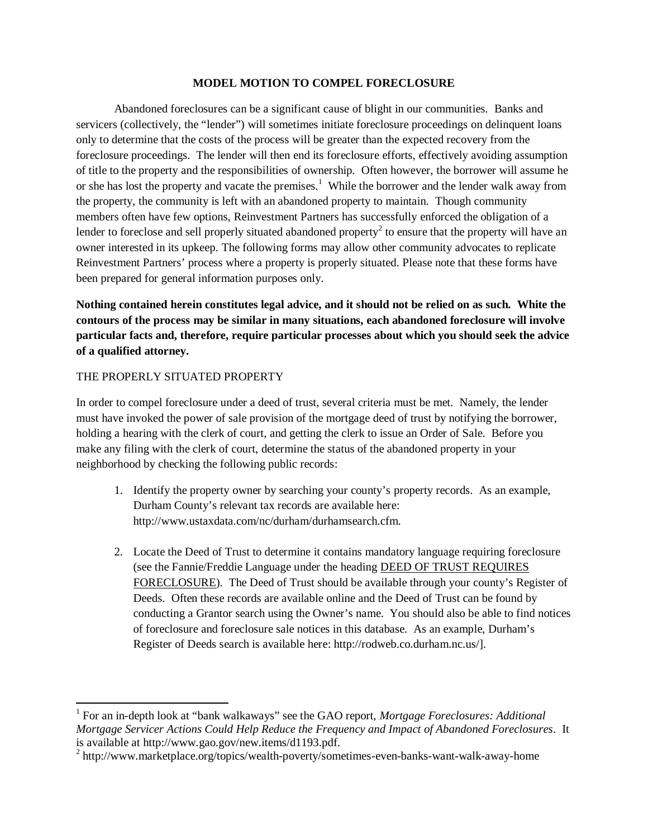#### **MODEL MOTION TO COMPEL FORECLOSURE**

Abandoned foreclosures can be a significant cause of blight in our communities. Banks and servicers (collectively, the "lender") will sometimes initiate foreclosure proceedings on delinquent loans only to determine that the costs of the process will be greater than the expected recovery from the foreclosure proceedings. The lender will then end its foreclosure efforts, effectively avoiding assumption of title to the property and the responsibilities of ownership. Often however, the borrower will assume he or she has lost the property and vacate the premises.<sup>1</sup> While the borrower and the lender walk away from the property, the community is left with an abandoned property to maintain. Though community members often have few options, Reinvestment Partners has successfully enforced the obligation of a lender to foreclose and sell properly situated abandoned property $^2$  to ensure that the property will have an owner interested in its upkeep. The following forms may allow other community advocates to replicate Reinvestment Partners' process where a property is properly situated. Please note that these forms have been prepared for general information purposes only.

**Nothing contained herein constitutes legal advice, and it should not be relied on as such. White the contours of the process may be similar in many situations, each abandoned foreclosure will involve particular facts and, therefore, require particular processes about which you should seek the advice of a qualified attorney.**

### THE PROPERLY SITUATED PROPERTY

 $\overline{\phantom{a}}$ 

In order to compel foreclosure under a deed of trust, several criteria must be met. Namely, the lender must have invoked the power of sale provision of the mortgage deed of trust by notifying the borrower, holding a hearing with the clerk of court, and getting the clerk to issue an Order of Sale. Before you make any filing with the clerk of court, determine the status of the abandoned property in your neighborhood by checking the following public records:

- 1. Identify the property owner by searching your county's property records. As an example, Durham County's relevant tax records are available here: http://www.ustaxdata.com/nc/durham/durhamsearch.cfm.
- 2. Locate the Deed of Trust to determine it contains mandatory language requiring foreclosure (see the Fannie/Freddie Language under the heading DEED OF TRUST REQUIRES FORECLOSURE). The Deed of Trust should be available through your county's Register of Deeds. Often these records are available online and the Deed of Trust can be found by conducting a Grantor search using the Owner's name. You should also be able to find notices of foreclosure and foreclosure sale notices in this database. As an example, Durham's Register of Deeds search is available here: http://rodweb.co.durham.nc.us/].

<sup>1</sup> For an in-depth look at "bank walkaways" see the GAO report, *Mortgage Foreclosures: Additional Mortgage Servicer Actions Could Help Reduce the Frequency and Impact of Abandoned Foreclosures*. It is available at http://www.gao.gov/new.items/d1193.pdf.

<sup>&</sup>lt;sup>2</sup> http://www.marketplace.org/topics/wealth-poverty/sometimes-even-banks-want-walk-away-home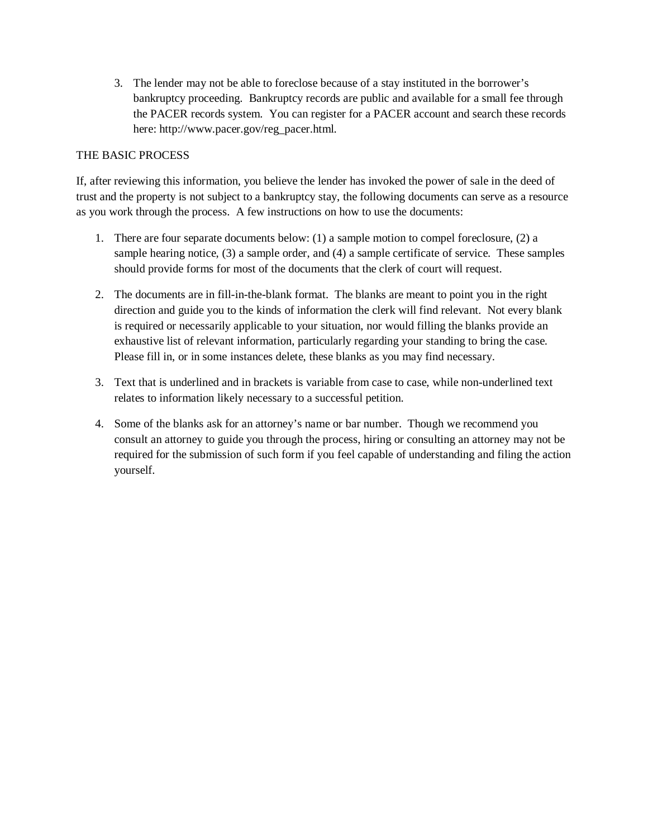3. The lender may not be able to foreclose because of a stay instituted in the borrower's bankruptcy proceeding. Bankruptcy records are public and available for a small fee through the PACER records system. You can register for a PACER account and search these records here: http://www.pacer.gov/reg\_pacer.html.

## THE BASIC PROCESS

If, after reviewing this information, you believe the lender has invoked the power of sale in the deed of trust and the property is not subject to a bankruptcy stay, the following documents can serve as a resource as you work through the process. A few instructions on how to use the documents:

- 1. There are four separate documents below: (1) a sample motion to compel foreclosure, (2) a sample hearing notice, (3) a sample order, and (4) a sample certificate of service. These samples should provide forms for most of the documents that the clerk of court will request.
- 2. The documents are in fill-in-the-blank format. The blanks are meant to point you in the right direction and guide you to the kinds of information the clerk will find relevant. Not every blank is required or necessarily applicable to your situation, nor would filling the blanks provide an exhaustive list of relevant information, particularly regarding your standing to bring the case. Please fill in, or in some instances delete, these blanks as you may find necessary.
- 3. Text that is underlined and in brackets is variable from case to case, while non-underlined text relates to information likely necessary to a successful petition.
- 4. Some of the blanks ask for an attorney's name or bar number. Though we recommend you consult an attorney to guide you through the process, hiring or consulting an attorney may not be required for the submission of such form if you feel capable of understanding and filing the action yourself.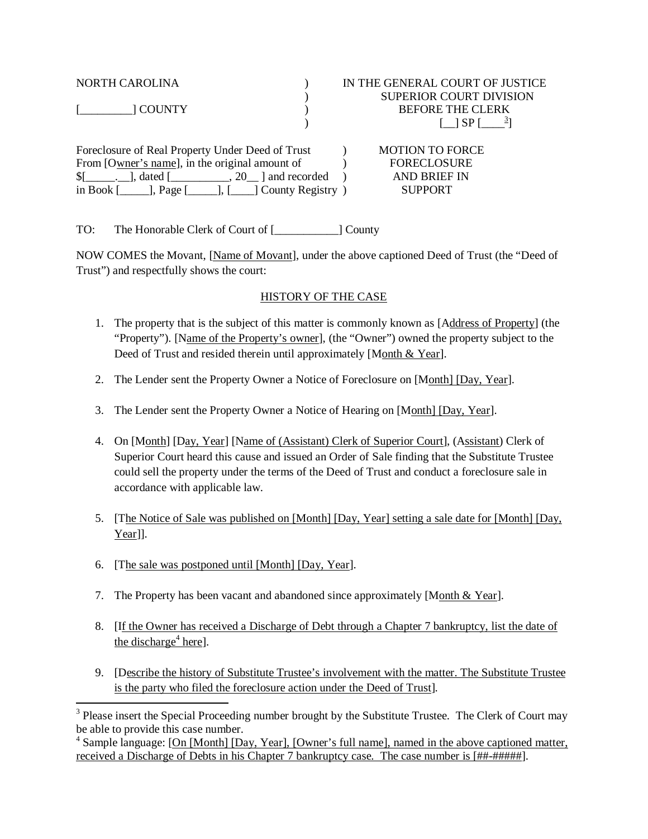|                                                                      | IN THE GENERAL COURT OF JUSTICE                                                                                                                                                      |
|----------------------------------------------------------------------|--------------------------------------------------------------------------------------------------------------------------------------------------------------------------------------|
|                                                                      | SUPERIOR COURT DIVISION                                                                                                                                                              |
|                                                                      | <b>BEFORE THE CLERK</b>                                                                                                                                                              |
|                                                                      | f 1 SP f                                                                                                                                                                             |
|                                                                      | <b>MOTION TO FORCE</b>                                                                                                                                                               |
|                                                                      | <b>FORECLOSURE</b>                                                                                                                                                                   |
|                                                                      | <b>AND BRIEF IN</b>                                                                                                                                                                  |
| in Book $[\_\_\_\]$ , Page $[\_\_\_\]$ , $[\_\_\]$ County Registry ) | <b>SUPPORT</b>                                                                                                                                                                       |
|                                                                      | Foreclosure of Real Property Under Deed of Trust<br>From [Owner's name], in the original amount of<br>$\lceil \cdot \rceil$ , dated $\lceil \cdot \rceil$ , 20 $\lceil$ and recorded |

TO: The Honorable Clerk of Court of [\_\_\_\_\_\_\_\_\_\_\_] County

NOW COMES the Movant, [Name of Movant], under the above captioned Deed of Trust (the "Deed of Trust") and respectfully shows the court:

### HISTORY OF THE CASE

- 1. The property that is the subject of this matter is commonly known as [Address of Property] (the "Property"). [Name of the Property's owner], (the "Owner") owned the property subject to the Deed of Trust and resided therein until approximately [Month & Year].
- 2. The Lender sent the Property Owner a Notice of Foreclosure on [Month] [Day, Year].
- 3. The Lender sent the Property Owner a Notice of Hearing on [Month] [Day, Year].
- 4. On [Month] [Day, Year] [Name of (Assistant) Clerk of Superior Court], (Assistant) Clerk of Superior Court heard this cause and issued an Order of Sale finding that the Substitute Trustee could sell the property under the terms of the Deed of Trust and conduct a foreclosure sale in accordance with applicable law.
- 5. [The Notice of Sale was published on [Month] [Day, Year] setting a sale date for [Month] [Day, Year]].
- 6. [The sale was postponed until [Month] [Day, Year].

 $\overline{\phantom{a}}$ 

- 7. The Property has been vacant and abandoned since approximately [Month & Year].
- 8. [If the Owner has received a Discharge of Debt through a Chapter 7 bankruptcy, list the date of the discharge<sup>4</sup> here].
- 9. [Describe the history of Substitute Trustee's involvement with the matter. The Substitute Trustee is the party who filed the foreclosure action under the Deed of Trust].

<sup>&</sup>lt;sup>3</sup> Please insert the Special Proceeding number brought by the Substitute Trustee. The Clerk of Court may be able to provide this case number.

<sup>&</sup>lt;sup>4</sup> Sample language: [On [Month] [Day, Year], [Owner's full name], named in the above captioned matter, received a Discharge of Debts in his Chapter 7 bankruptcy case. The case number is [##-#####].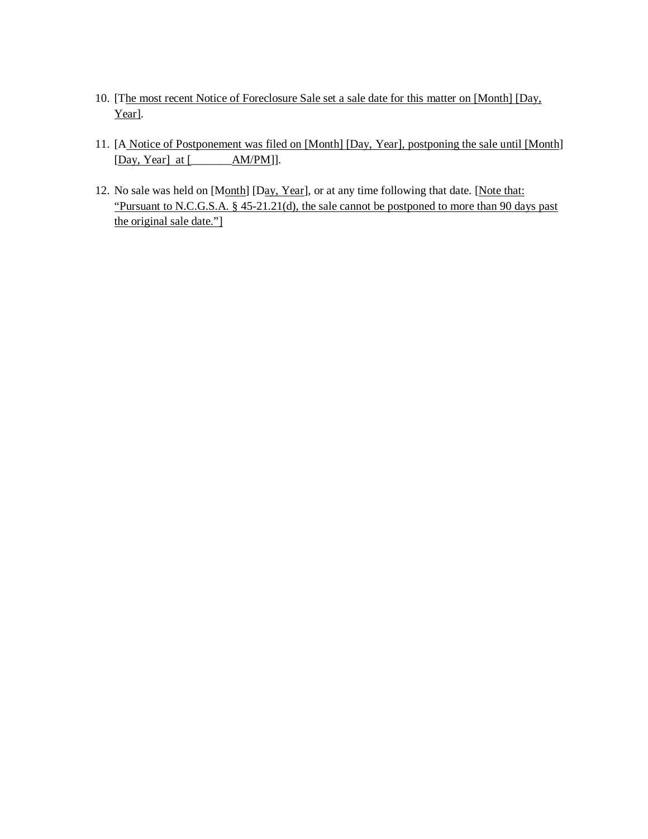- 10. [The most recent Notice of Foreclosure Sale set a sale date for this matter on [Month] [Day, Year].
- 11. [A Notice of Postponement was filed on [Month] [Day, Year], postponing the sale until [Month] [Day, Year] at [\_\_\_\_\_\_\_AM/PM]].
- 12. No sale was held on [Month] [Day, Year], or at any time following that date. [Note that: "Pursuant to N.C.G.S.A. § 45-21.21(d), the sale cannot be postponed to more than 90 days past the original sale date."]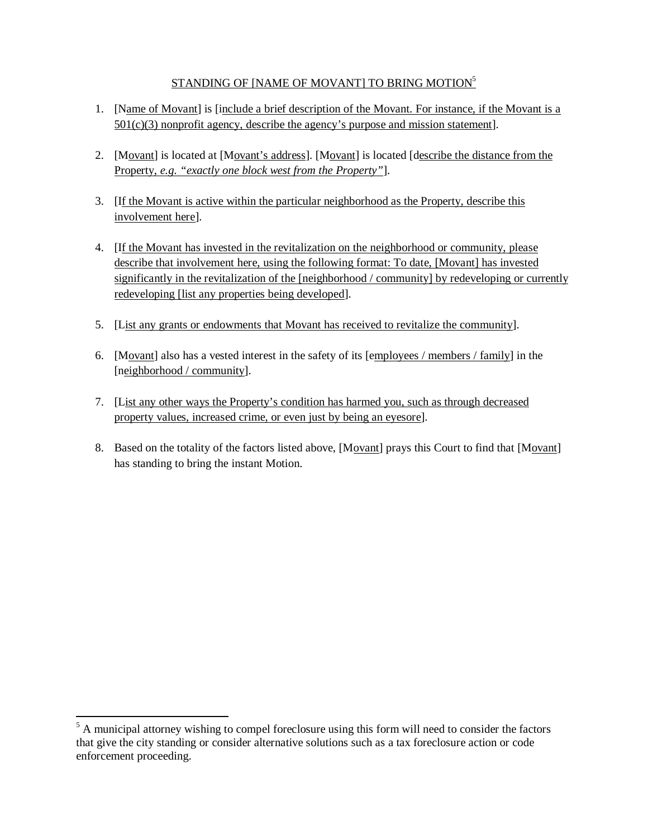## STANDING OF [NAME OF MOVANT] TO BRING MOTION<sup>5</sup>

- 1. [Name of Movant] is [include a brief description of the Movant. For instance, if the Movant is a 501(c)(3) nonprofit agency, describe the agency's purpose and mission statement].
- 2. [Movant] is located at [Movant's address]. [Movant] is located [describe the distance from the Property, *e.g. "exactly one block west from the Property"*].
- 3. [If the Movant is active within the particular neighborhood as the Property, describe this involvement here].
- 4. [If the Movant has invested in the revitalization on the neighborhood or community, please describe that involvement here, using the following format: To date, [Movant] has invested significantly in the revitalization of the [neighborhood / community] by redeveloping or currently redeveloping [list any properties being developed].
- 5. [List any grants or endowments that Movant has received to revitalize the community].
- 6. [Movant] also has a vested interest in the safety of its [employees / members / family] in the [neighborhood / community].
- 7. [List any other ways the Property's condition has harmed you, such as through decreased property values, increased crime, or even just by being an eyesore].
- 8. Based on the totality of the factors listed above, [Movant] prays this Court to find that [Movant] has standing to bring the instant Motion.

 $\overline{\phantom{a}}$ 

 $<sup>5</sup>$  A municipal attorney wishing to compel foreclosure using this form will need to consider the factors</sup> that give the city standing or consider alternative solutions such as a tax foreclosure action or code enforcement proceeding.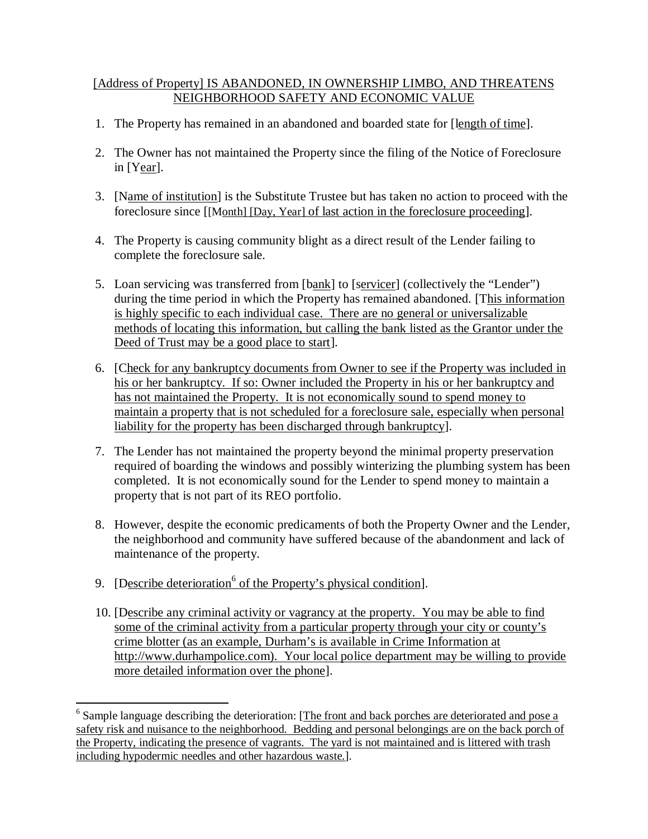# [Address of Property] IS ABANDONED, IN OWNERSHIP LIMBO, AND THREATENS NEIGHBORHOOD SAFETY AND ECONOMIC VALUE

- 1. The Property has remained in an abandoned and boarded state for [length of time].
- 2. The Owner has not maintained the Property since the filing of the Notice of Foreclosure in [Year].
- 3. [Name of institution] is the Substitute Trustee but has taken no action to proceed with the foreclosure since [[Month] [Day, Year] of last action in the foreclosure proceeding].
- 4. The Property is causing community blight as a direct result of the Lender failing to complete the foreclosure sale.
- 5. Loan servicing was transferred from [bank] to [servicer] (collectively the "Lender") during the time period in which the Property has remained abandoned. [This information is highly specific to each individual case. There are no general or universalizable methods of locating this information, but calling the bank listed as the Grantor under the Deed of Trust may be a good place to start].
- 6. [Check for any bankruptcy documents from Owner to see if the Property was included in his or her bankruptcy. If so: Owner included the Property in his or her bankruptcy and has not maintained the Property. It is not economically sound to spend money to maintain a property that is not scheduled for a foreclosure sale, especially when personal liability for the property has been discharged through bankruptcy].
- 7. The Lender has not maintained the property beyond the minimal property preservation required of boarding the windows and possibly winterizing the plumbing system has been completed. It is not economically sound for the Lender to spend money to maintain a property that is not part of its REO portfolio.
- 8. However, despite the economic predicaments of both the Property Owner and the Lender, the neighborhood and community have suffered because of the abandonment and lack of maintenance of the property.
- 9. [Describe deterioration<sup>6</sup> of the Property's physical condition].

 $\overline{\phantom{a}}$ 

10. [Describe any criminal activity or vagrancy at the property. You may be able to find some of the criminal activity from a particular property through your city or county's crime blotter (as an example, Durham's is available in Crime Information at http://www.durhampolice.com). Your local police department may be willing to provide more detailed information over the phone].

<sup>&</sup>lt;sup>6</sup> Sample language describing the deterioration: [The front and back porches are deteriorated and pose a safety risk and nuisance to the neighborhood. Bedding and personal belongings are on the back porch of the Property, indicating the presence of vagrants. The yard is not maintained and is littered with trash including hypodermic needles and other hazardous waste.].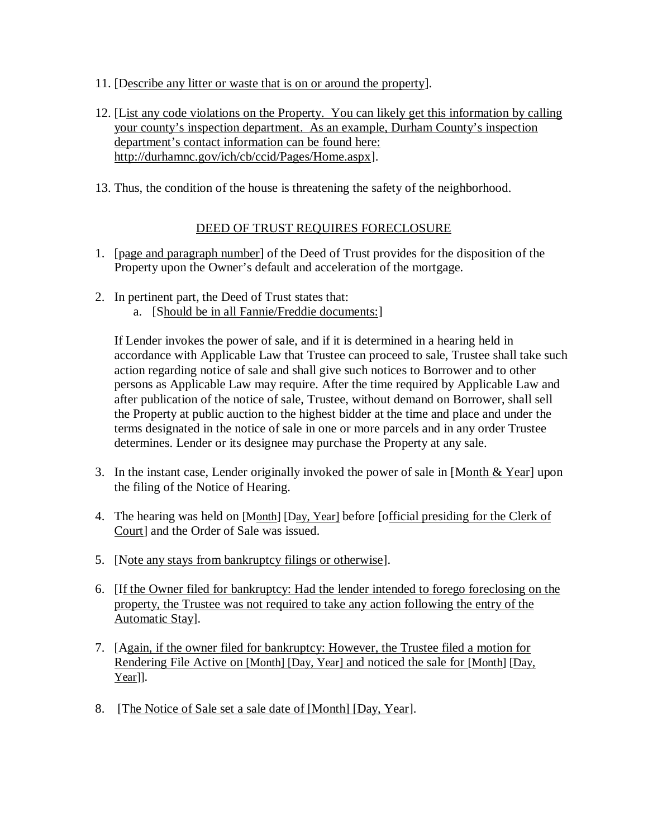- 11. [Describe any litter or waste that is on or around the property].
- 12. [List any code violations on the Property. You can likely get this information by calling your county's inspection department. As an example, Durham County's inspection department's contact information can be found here: http://durhamnc.gov/ich/cb/ccid/Pages/Home.aspx].
- 13. Thus, the condition of the house is threatening the safety of the neighborhood.

## DEED OF TRUST REQUIRES FORECLOSURE

- 1. [page and paragraph number] of the Deed of Trust provides for the disposition of the Property upon the Owner's default and acceleration of the mortgage.
- 2. In pertinent part, the Deed of Trust states that:
	- a. [Should be in all Fannie/Freddie documents:]

If Lender invokes the power of sale, and if it is determined in a hearing held in accordance with Applicable Law that Trustee can proceed to sale, Trustee shall take such action regarding notice of sale and shall give such notices to Borrower and to other persons as Applicable Law may require. After the time required by Applicable Law and after publication of the notice of sale, Trustee, without demand on Borrower, shall sell the Property at public auction to the highest bidder at the time and place and under the terms designated in the notice of sale in one or more parcels and in any order Trustee determines. Lender or its designee may purchase the Property at any sale.

- 3. In the instant case, Lender originally invoked the power of sale in [Month  $& Year$ ] upon the filing of the Notice of Hearing.
- 4. The hearing was held on [Month] [Day, Year] before [official presiding for the Clerk of Court] and the Order of Sale was issued.
- 5. [Note any stays from bankruptcy filings or otherwise].
- 6. [If the Owner filed for bankruptcy: Had the lender intended to forego foreclosing on the property, the Trustee was not required to take any action following the entry of the Automatic Stay].
- 7. [Again, if the owner filed for bankruptcy: However, the Trustee filed a motion for Rendering File Active on [Month] [Day, Year] and noticed the sale for [Month] [Day, Year]].
- 8. [The Notice of Sale set a sale date of [Month] [Day, Year].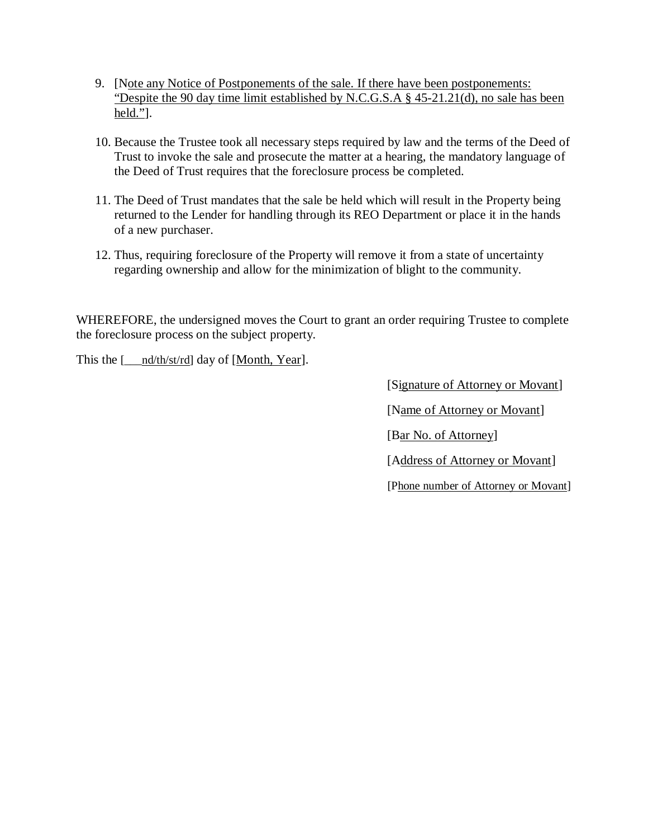- 9. [Note any Notice of Postponements of the sale. If there have been postponements: "Despite the 90 day time limit established by N.C.G.S.A § 45-21.21(d), no sale has been  $held.'$ ].
- 10. Because the Trustee took all necessary steps required by law and the terms of the Deed of Trust to invoke the sale and prosecute the matter at a hearing, the mandatory language of the Deed of Trust requires that the foreclosure process be completed.
- 11. The Deed of Trust mandates that the sale be held which will result in the Property being returned to the Lender for handling through its REO Department or place it in the hands of a new purchaser.
- 12. Thus, requiring foreclosure of the Property will remove it from a state of uncertainty regarding ownership and allow for the minimization of blight to the community.

WHEREFORE, the undersigned moves the Court to grant an order requiring Trustee to complete the foreclosure process on the subject property.

This the [\_\_\_nd/th/st/rd] day of [Month, Year].

[Signature of Attorney or Movant] [Name of Attorney or Movant] [Bar No. of Attorney] [Address of Attorney or Movant] [Phone number of Attorney or Movant]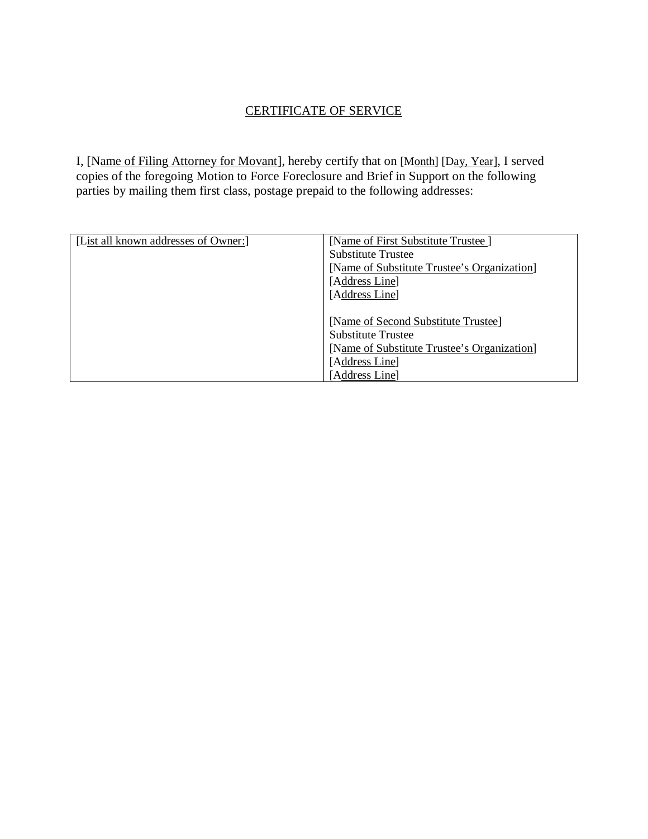# CERTIFICATE OF SERVICE

I, [Name of Filing Attorney for Movant], hereby certify that on [Month] [Day, Year], I served copies of the foregoing Motion to Force Foreclosure and Brief in Support on the following parties by mailing them first class, postage prepaid to the following addresses:

| [List all known addresses of Owner:] | [Name of First Substitute Trustee]          |
|--------------------------------------|---------------------------------------------|
|                                      | <b>Substitute Trustee</b>                   |
|                                      | [Name of Substitute Trustee's Organization] |
|                                      | [Address Line]                              |
|                                      | [Address Line]                              |
|                                      |                                             |
|                                      | [Name of Second Substitute Trustee]         |
|                                      | <b>Substitute Trustee</b>                   |
|                                      | [Name of Substitute Trustee's Organization] |
|                                      | [Address Line]                              |
|                                      | [Address Line]                              |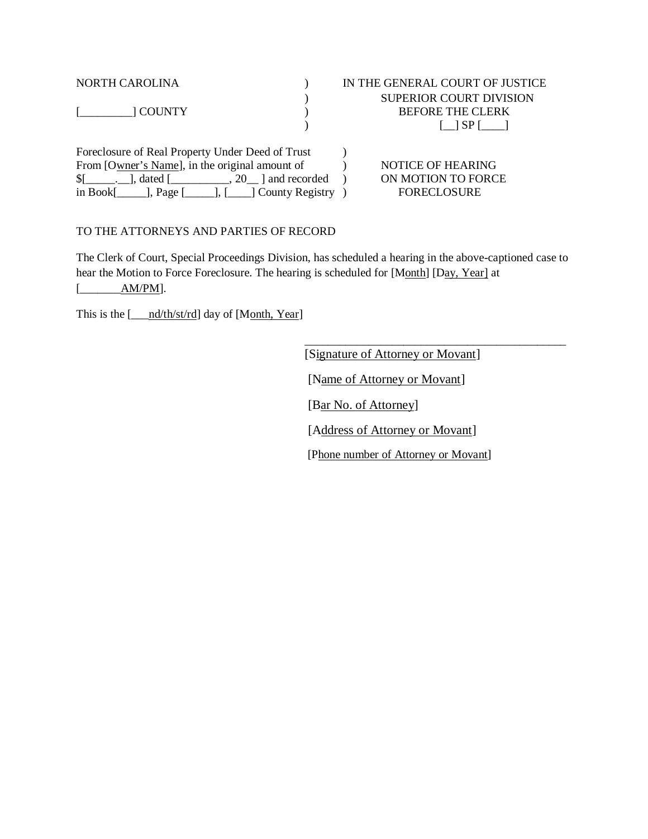| NORTH CAROLINA                                                                                                                                                                                                              | IN THE GENERAL COURT OF JUSTICE                                            |
|-----------------------------------------------------------------------------------------------------------------------------------------------------------------------------------------------------------------------------|----------------------------------------------------------------------------|
|                                                                                                                                                                                                                             | <b>SUPERIOR COURT DIVISION</b>                                             |
| $[$ $[$ $]$ $[$ $[$ $]$ $[$ $[$ $]$ $[$ $[$ $]$ $[$ $[$ $]$ $[$ $[$ $]$ $[$ $]$ $[$ $[$ $]$ $[$ $]$ $[$ $]$ $[$ $]$ $[$ $]$ $[$ $]$ $[$ $]$ $[$ $]$ $[$ $]$ $[$ $]$ $[$ $]$ $[$ $]$ $[$ $]$ $[$ $]$ $[$ $]$ $[$ $]$ $[$ $]$ | <b>BEFORE THE CLERK</b>                                                    |
|                                                                                                                                                                                                                             | $\begin{array}{ccc} \text{I} & \text{I} \text{SPI} & \text{I} \end{array}$ |
| Foreclosure of Real Property Under Deed of Trust                                                                                                                                                                            |                                                                            |

From [Owner's Name], in the original amount of  $\blacksquare$  NOTICE OF HEARING  $[$   $],$  dated  $[$   $],$   $]$   $]$  and recorded ) ON MOTION TO FORCE in Book[\_\_\_\_\_], Page [\_\_\_\_\_], [\_\_\_\_] County Registry ) FORECLOSURE

### TO THE ATTORNEYS AND PARTIES OF RECORD

The Clerk of Court, Special Proceedings Division, has scheduled a hearing in the above-captioned case to hear the Motion to Force Foreclosure. The hearing is scheduled for [Month] [Day, Year] at [\_\_\_\_\_\_\_<u>AM/PM]</u>.

This is the [\_\_\_nd/th/st/rd] day of [Month, Year]

[Signature of Attorney or Movant] [Name of Attorney or Movant] [Bar No. of Attorney] [Address of Attorney or Movant] [Phone number of Attorney or Movant]

\_\_\_\_\_\_\_\_\_\_\_\_\_\_\_\_\_\_\_\_\_\_\_\_\_\_\_\_\_\_\_\_\_\_\_\_\_\_\_\_\_\_\_\_\_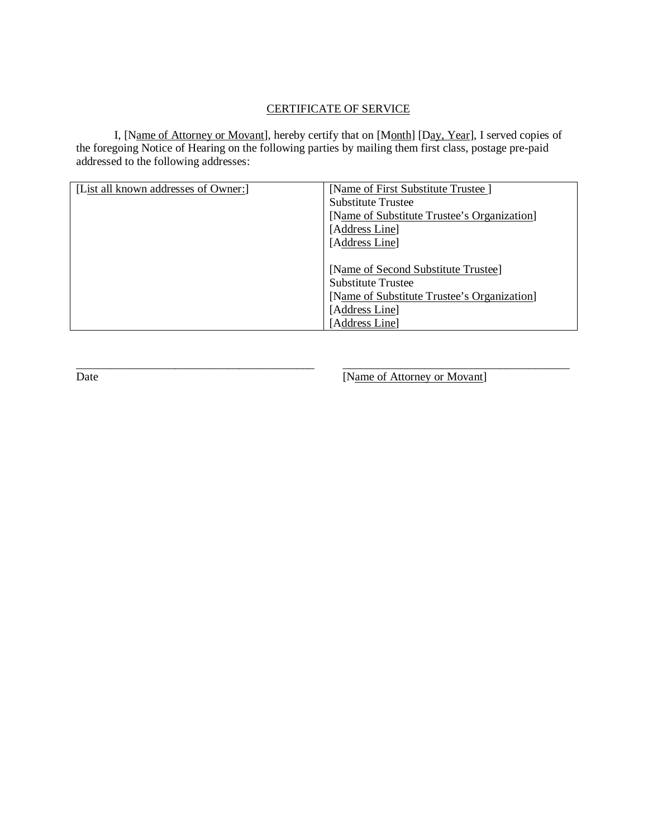## CERTIFICATE OF SERVICE

I, [Name of Attorney or Movant], hereby certify that on [Month] [Day, Year], I served copies of the foregoing Notice of Hearing on the following parties by mailing them first class, postage pre-paid addressed to the following addresses:

| [List all known addresses of Owner:] | [Name of First Substitute Trustee]          |
|--------------------------------------|---------------------------------------------|
|                                      | <b>Substitute Trustee</b>                   |
|                                      | [Name of Substitute Trustee's Organization] |
|                                      | [Address Line]                              |
|                                      | [Address Line]                              |
|                                      |                                             |
|                                      | [Name of Second Substitute Trustee]         |
|                                      | <b>Substitute Trustee</b>                   |
|                                      | [Name of Substitute Trustee's Organization] |
|                                      | [Address Line]                              |
|                                      | [Address Line]                              |

\_\_\_\_\_\_\_\_\_\_\_\_\_\_\_\_\_\_\_\_\_\_\_\_\_\_\_\_\_\_\_\_\_\_\_\_\_\_\_\_\_ \_\_\_\_\_\_\_\_\_\_\_\_\_\_\_\_\_\_\_\_\_\_\_\_\_\_\_\_\_\_\_\_\_\_\_\_\_\_\_ Date [Name of Attorney or Movant]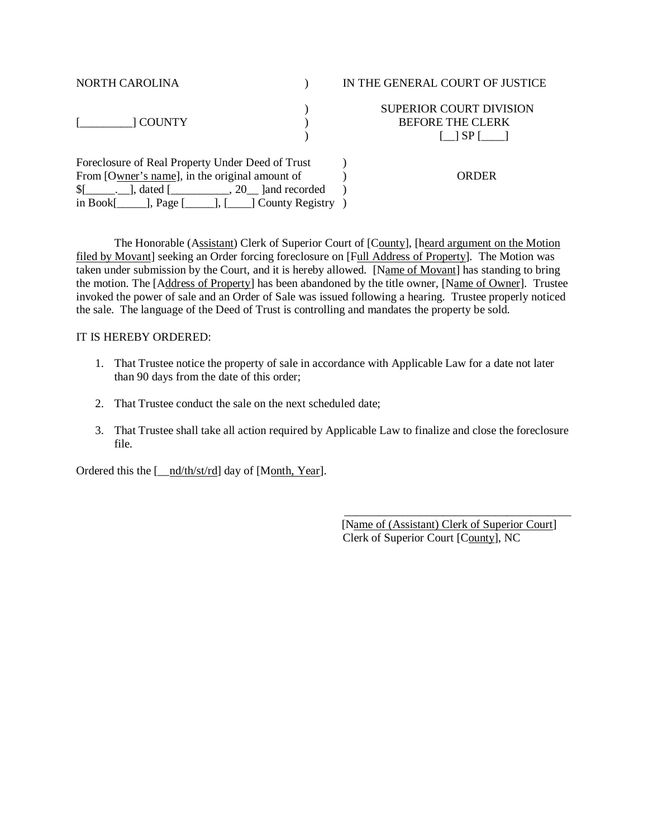| <b>NORTH CAROLINA</b>                                                                       | IN THE GENERAL COURT OF JUSTICE                                                                        |
|---------------------------------------------------------------------------------------------|--------------------------------------------------------------------------------------------------------|
| 1 COUNTY                                                                                    | <b>SUPERIOR COURT DIVISION</b><br><b>BEFORE THE CLERK</b><br>$\begin{bmatrix} 1 & 1 & 1 \end{bmatrix}$ |
| Foreclosure of Real Property Under Deed of Trust                                            |                                                                                                        |
| From [Owner's name], in the original amount of                                              | ORDER                                                                                                  |
| $\lceil \cdot \rceil$ , dated $\lceil \cdot \rceil$ , 20 $\lceil \cdot \rceil$ and recorded |                                                                                                        |
| in Book[ $\_\_\_\_\_\$ ge [ $\_\_\_\_\$ <sub>]</sub> , [ $\_\_\_\$ ] County Registry        |                                                                                                        |

The Honorable (Assistant) Clerk of Superior Court of [County], [heard argument on the Motion filed by Movant] seeking an Order forcing foreclosure on [Full Address of Property]. The Motion was taken under submission by the Court, and it is hereby allowed. [Name of Movant] has standing to bring the motion. The [Address of Property] has been abandoned by the title owner, [Name of Owner]. Trustee invoked the power of sale and an Order of Sale was issued following a hearing. Trustee properly noticed the sale. The language of the Deed of Trust is controlling and mandates the property be sold.

#### IT IS HEREBY ORDERED:

- 1. That Trustee notice the property of sale in accordance with Applicable Law for a date not later than 90 days from the date of this order;
- 2. That Trustee conduct the sale on the next scheduled date;
- 3. That Trustee shall take all action required by Applicable Law to finalize and close the foreclosure file.

Ordered this the [\_\_nd/th/st/rd] day of [Month, Year].

 [Name of (Assistant) Clerk of Superior Court] Clerk of Superior Court [County], NC

\_\_\_\_\_\_\_\_\_\_\_\_\_\_\_\_\_\_\_\_\_\_\_\_\_\_\_\_\_\_\_\_\_\_\_\_\_\_\_